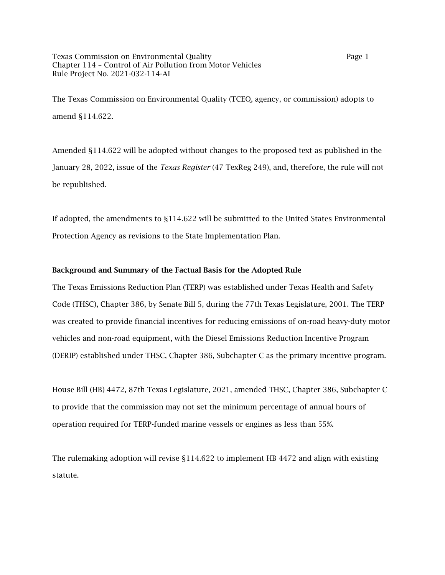Texas Commission on Environmental Quality **Page 1** Page 1 Chapter 114 – Control of Air Pollution from Motor Vehicles Rule Project No. 2021-032-114-AI

The Texas Commission on Environmental Quality (TCEQ, agency, or commission) adopts to amend §114.622.

Amended §114.622 will be adopted without changes to the proposed text as published in the January 28, 2022, issue of the *Texas Register* (47 TexReg 249), and, therefore, the rule will not be republished.

If adopted, the amendments to §114.622 will be submitted to the United States Environmental Protection Agency as revisions to the State Implementation Plan.

## Background and Summary of the Factual Basis for the Adopted Rule

The Texas Emissions Reduction Plan (TERP) was established under Texas Health and Safety Code (THSC), Chapter 386, by Senate Bill 5, during the 77th Texas Legislature, 2001. The TERP was created to provide financial incentives for reducing emissions of on-road heavy-duty motor vehicles and non-road equipment, with the Diesel Emissions Reduction Incentive Program (DERIP) established under THSC, Chapter 386, Subchapter C as the primary incentive program.

House Bill (HB) 4472, 87th Texas Legislature, 2021, amended THSC, Chapter 386, Subchapter C to provide that the commission may not set the minimum percentage of annual hours of operation required for TERP-funded marine vessels or engines as less than 55%.

The rulemaking adoption will revise §114.622 to implement HB 4472 and align with existing statute.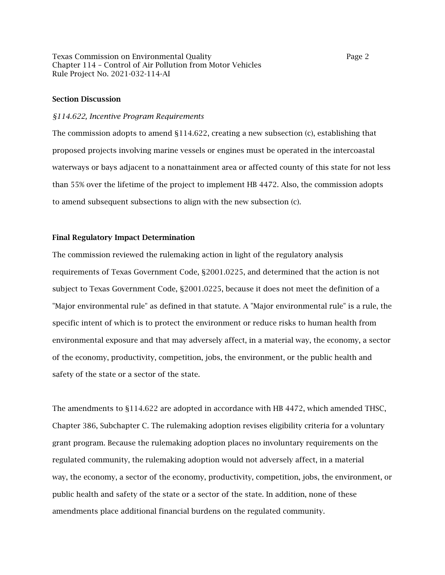Texas Commission on Environmental Quality Page 2 Chapter 114 – Control of Air Pollution from Motor Vehicles Rule Project No. 2021-032-114-AI

#### Section Discussion

#### *§114.622, Incentive Program Requirements*

The commission adopts to amend §114.622, creating a new subsection (c), establishing that proposed projects involving marine vessels or engines must be operated in the intercoastal waterways or bays adjacent to a nonattainment area or affected county of this state for not less than 55% over the lifetime of the project to implement HB 4472. Also, the commission adopts to amend subsequent subsections to align with the new subsection (c).

## Final Regulatory Impact Determination

The commission reviewed the rulemaking action in light of the regulatory analysis requirements of Texas Government Code, §2001.0225, and determined that the action is not subject to Texas Government Code, §2001.0225, because it does not meet the definition of a "Major environmental rule" as defined in that statute. A "Major environmental rule" is a rule, the specific intent of which is to protect the environment or reduce risks to human health from environmental exposure and that may adversely affect, in a material way, the economy, a sector of the economy, productivity, competition, jobs, the environment, or the public health and safety of the state or a sector of the state.

The amendments to §114.622 are adopted in accordance with HB 4472, which amended THSC, Chapter 386, Subchapter C. The rulemaking adoption revises eligibility criteria for a voluntary grant program. Because the rulemaking adoption places no involuntary requirements on the regulated community, the rulemaking adoption would not adversely affect, in a material way, the economy, a sector of the economy, productivity, competition, jobs, the environment, or public health and safety of the state or a sector of the state. In addition, none of these amendments place additional financial burdens on the regulated community.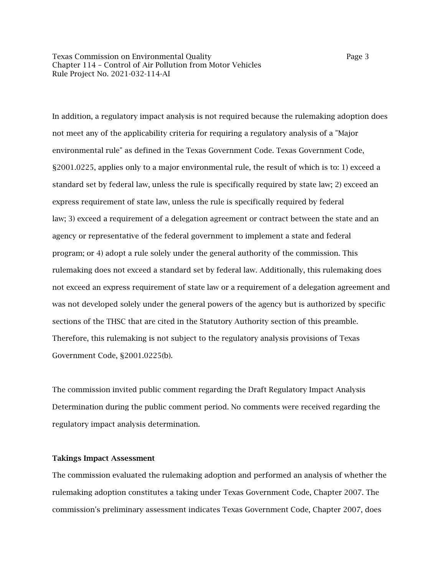Texas Commission on Environmental Quality **Page 3** Page 3 Chapter 114 – Control of Air Pollution from Motor Vehicles Rule Project No. 2021-032-114-AI

In addition, a regulatory impact analysis is not required because the rulemaking adoption does not meet any of the applicability criteria for requiring a regulatory analysis of a "Major environmental rule" as defined in the Texas Government Code. Texas Government Code, §2001.0225, applies only to a major environmental rule, the result of which is to: 1) exceed a standard set by federal law, unless the rule is specifically required by state law; 2) exceed an express requirement of state law, unless the rule is specifically required by federal law; 3) exceed a requirement of a delegation agreement or contract between the state and an agency or representative of the federal government to implement a state and federal program; or 4) adopt a rule solely under the general authority of the commission. This rulemaking does not exceed a standard set by federal law. Additionally, this rulemaking does not exceed an express requirement of state law or a requirement of a delegation agreement and was not developed solely under the general powers of the agency but is authorized by specific sections of the THSC that are cited in the Statutory Authority section of this preamble. Therefore, this rulemaking is not subject to the regulatory analysis provisions of Texas Government Code, §2001.0225(b).

The commission invited public comment regarding the Draft Regulatory Impact Analysis Determination during the public comment period. No comments were received regarding the regulatory impact analysis determination.

#### Takings Impact Assessment

The commission evaluated the rulemaking adoption and performed an analysis of whether the rulemaking adoption constitutes a taking under Texas Government Code, Chapter 2007. The commission's preliminary assessment indicates Texas Government Code, Chapter 2007, does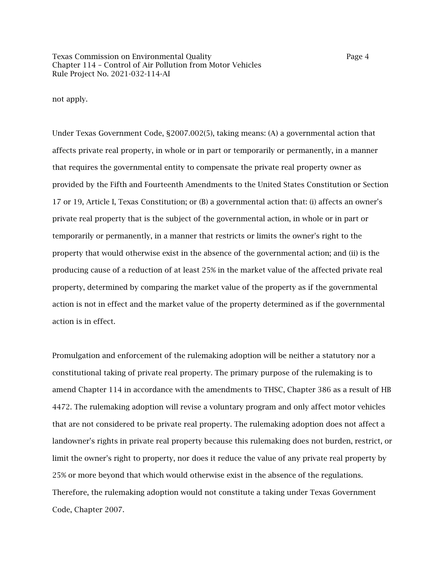not apply.

Under Texas Government Code, §2007.002(5), taking means: (A) a governmental action that affects private real property, in whole or in part or temporarily or permanently, in a manner that requires the governmental entity to compensate the private real property owner as provided by the Fifth and Fourteenth Amendments to the United States Constitution or Section 17 or 19, Article I, Texas Constitution; or (B) a governmental action that: (i) affects an owner's private real property that is the subject of the governmental action, in whole or in part or temporarily or permanently, in a manner that restricts or limits the owner's right to the property that would otherwise exist in the absence of the governmental action; and (ii) is the producing cause of a reduction of at least 25% in the market value of the affected private real property, determined by comparing the market value of the property as if the governmental action is not in effect and the market value of the property determined as if the governmental action is in effect.

Promulgation and enforcement of the rulemaking adoption will be neither a statutory nor a constitutional taking of private real property. The primary purpose of the rulemaking is to amend Chapter 114 in accordance with the amendments to THSC, Chapter 386 as a result of HB 4472. The rulemaking adoption will revise a voluntary program and only affect motor vehicles that are not considered to be private real property. The rulemaking adoption does not affect a landowner's rights in private real property because this rulemaking does not burden, restrict, or limit the owner's right to property, nor does it reduce the value of any private real property by 25% or more beyond that which would otherwise exist in the absence of the regulations. Therefore, the rulemaking adoption would not constitute a taking under Texas Government Code, Chapter 2007.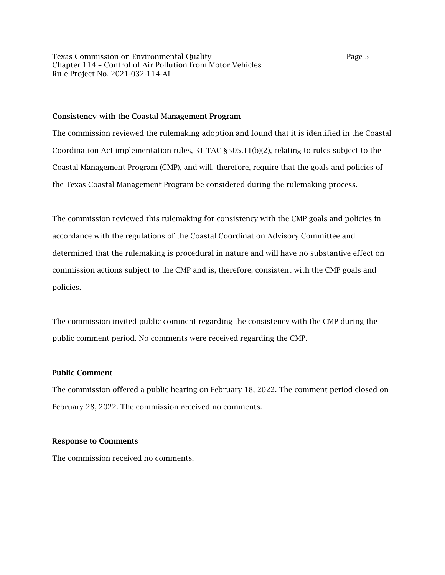Texas Commission on Environmental Quality Page 5 Chapter 114 – Control of Air Pollution from Motor Vehicles Rule Project No. 2021-032-114-AI

#### Consistency with the Coastal Management Program

The commission reviewed the rulemaking adoption and found that it is identified in the Coastal Coordination Act implementation rules, 31 TAC §505.11(b)(2), relating to rules subject to the Coastal Management Program (CMP), and will, therefore, require that the goals and policies of the Texas Coastal Management Program be considered during the rulemaking process.

The commission reviewed this rulemaking for consistency with the CMP goals and policies in accordance with the regulations of the Coastal Coordination Advisory Committee and determined that the rulemaking is procedural in nature and will have no substantive effect on commission actions subject to the CMP and is, therefore, consistent with the CMP goals and policies.

The commission invited public comment regarding the consistency with the CMP during the public comment period. No comments were received regarding the CMP.

# Public Comment

The commission offered a public hearing on February 18, 2022. The comment period closed on February 28, 2022. The commission received no comments.

## Response to Comments

The commission received no comments.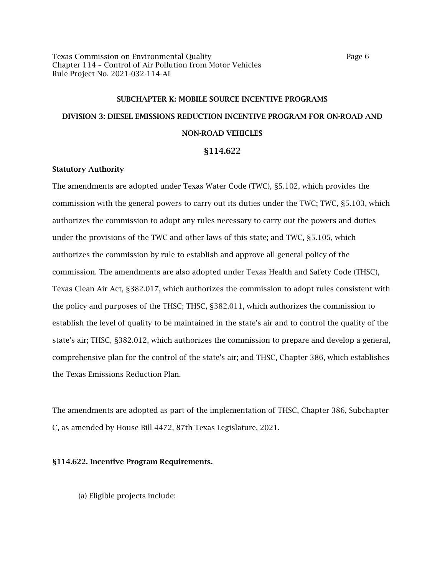Texas Commission on Environmental Quality **Page 6** Page 6 Chapter 114 – Control of Air Pollution from Motor Vehicles Rule Project No. 2021-032-114-AI

# SUBCHAPTER K: MOBILE SOURCE INCENTIVE PROGRAMS DIVISION 3: DIESEL EMISSIONS REDUCTION INCENTIVE PROGRAM FOR ON-ROAD AND NON-ROAD VEHICLES

# §114.622

# Statutory Authority

The amendments are adopted under Texas Water Code (TWC), §5.102, which provides the commission with the general powers to carry out its duties under the TWC; TWC, §5.103, which authorizes the commission to adopt any rules necessary to carry out the powers and duties under the provisions of the TWC and other laws of this state; and TWC, §5.105, which authorizes the commission by rule to establish and approve all general policy of the commission. The amendments are also adopted under Texas Health and Safety Code (THSC), Texas Clean Air Act, §382.017, which authorizes the commission to adopt rules consistent with the policy and purposes of the THSC; THSC, §382.011, which authorizes the commission to establish the level of quality to be maintained in the state's air and to control the quality of the state's air; THSC, §382.012, which authorizes the commission to prepare and develop a general, comprehensive plan for the control of the state's air; and THSC, Chapter 386, which establishes the Texas Emissions Reduction Plan.

The amendments are adopted as part of the implementation of THSC, Chapter 386, Subchapter C, as amended by House Bill 4472, 87th Texas Legislature, 2021.

#### §114.622. Incentive Program Requirements.

(a) Eligible projects include: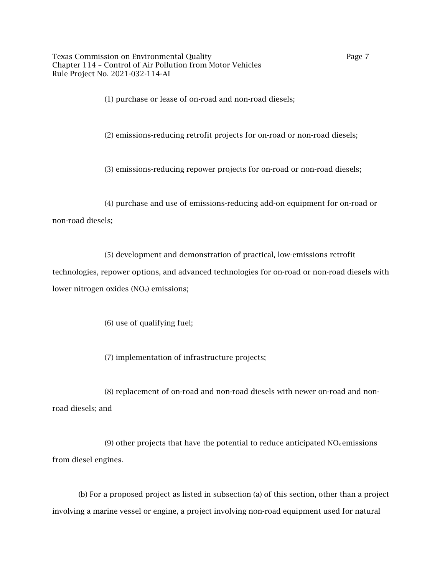Texas Commission on Environmental Quality **Page 7** Page 7 Chapter 114 – Control of Air Pollution from Motor Vehicles Rule Project No. 2021-032-114-AI

(1) purchase or lease of on-road and non-road diesels;

(2) emissions-reducing retrofit projects for on-road or non-road diesels;

(3) emissions-reducing repower projects for on-road or non-road diesels;

(4) purchase and use of emissions-reducing add-on equipment for on-road or

## non-road diesels;

(5) development and demonstration of practical, low-emissions retrofit

technologies, repower options, and advanced technologies for on-road or non-road diesels with lower nitrogen oxides  $(NO<sub>x</sub>)$  emissions;

(6) use of qualifying fuel;

(7) implementation of infrastructure projects;

(8) replacement of on-road and non-road diesels with newer on-road and nonroad diesels; and

(9) other projects that have the potential to reduce anticipated  $NO<sub>x</sub>$  emissions from diesel engines.

(b) For a proposed project as listed in subsection (a) of this section, other than a project involving a marine vessel or engine, a project involving non-road equipment used for natural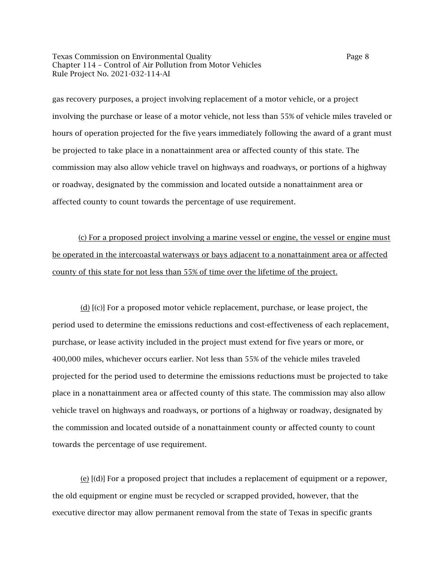Texas Commission on Environmental Quality **Page 8** Page 8 Chapter 114 – Control of Air Pollution from Motor Vehicles Rule Project No. 2021-032-114-AI

gas recovery purposes, a project involving replacement of a motor vehicle, or a project involving the purchase or lease of a motor vehicle, not less than 55% of vehicle miles traveled or hours of operation projected for the five years immediately following the award of a grant must be projected to take place in a nonattainment area or affected county of this state. The commission may also allow vehicle travel on highways and roadways, or portions of a highway or roadway, designated by the commission and located outside a nonattainment area or affected county to count towards the percentage of use requirement.

(c) For a proposed project involving a marine vessel or engine, the vessel or engine must be operated in the intercoastal waterways or bays adjacent to a nonattainment area or affected county of this state for not less than 55% of time over the lifetime of the project.

(d) [(c)] For a proposed motor vehicle replacement, purchase, or lease project, the period used to determine the emissions reductions and cost-effectiveness of each replacement, purchase, or lease activity included in the project must extend for five years or more, or 400,000 miles, whichever occurs earlier. Not less than 55% of the vehicle miles traveled projected for the period used to determine the emissions reductions must be projected to take place in a nonattainment area or affected county of this state. The commission may also allow vehicle travel on highways and roadways, or portions of a highway or roadway, designated by the commission and located outside of a nonattainment county or affected county to count towards the percentage of use requirement.

(e) [(d)] For a proposed project that includes a replacement of equipment or a repower, the old equipment or engine must be recycled or scrapped provided, however, that the executive director may allow permanent removal from the state of Texas in specific grants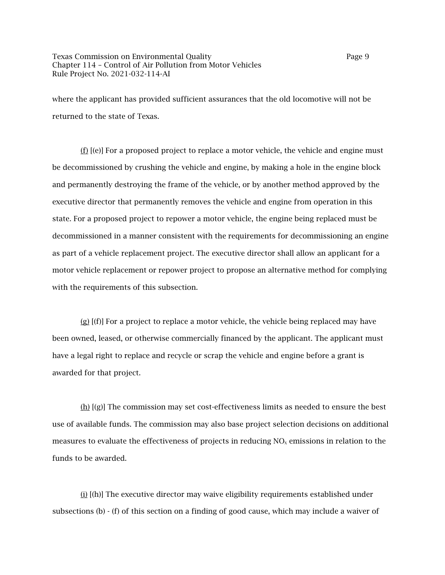where the applicant has provided sufficient assurances that the old locomotive will not be returned to the state of Texas.

(f) [(e)] For a proposed project to replace a motor vehicle, the vehicle and engine must be decommissioned by crushing the vehicle and engine, by making a hole in the engine block and permanently destroying the frame of the vehicle, or by another method approved by the executive director that permanently removes the vehicle and engine from operation in this state. For a proposed project to repower a motor vehicle, the engine being replaced must be decommissioned in a manner consistent with the requirements for decommissioning an engine as part of a vehicle replacement project. The executive director shall allow an applicant for a motor vehicle replacement or repower project to propose an alternative method for complying with the requirements of this subsection.

(g)  $[(f)]$  For a project to replace a motor vehicle, the vehicle being replaced may have been owned, leased, or otherwise commercially financed by the applicant. The applicant must have a legal right to replace and recycle or scrap the vehicle and engine before a grant is awarded for that project.

(h)  $[(g)]$  The commission may set cost-effectiveness limits as needed to ensure the best use of available funds. The commission may also base project selection decisions on additional measures to evaluate the effectiveness of projects in reducing  $NO<sub>x</sub>$  emissions in relation to the funds to be awarded.

(i) [(h)] The executive director may waive eligibility requirements established under subsections (b) - (f) of this section on a finding of good cause, which may include a waiver of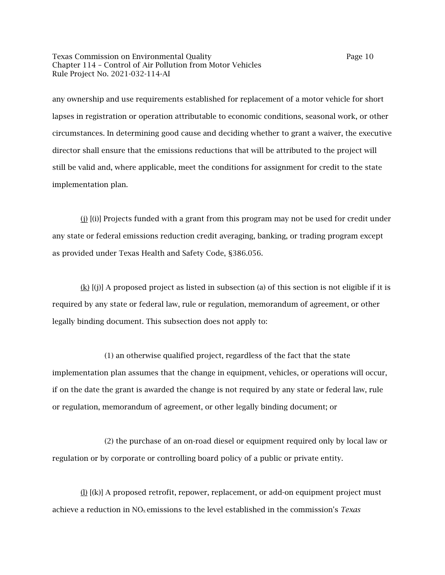Texas Commission on Environmental Quality Page 10 Chapter 114 – Control of Air Pollution from Motor Vehicles Rule Project No. 2021-032-114-AI

any ownership and use requirements established for replacement of a motor vehicle for short lapses in registration or operation attributable to economic conditions, seasonal work, or other circumstances. In determining good cause and deciding whether to grant a waiver, the executive director shall ensure that the emissions reductions that will be attributed to the project will still be valid and, where applicable, meet the conditions for assignment for credit to the state implementation plan.

(j) [(i)] Projects funded with a grant from this program may not be used for credit under any state or federal emissions reduction credit averaging, banking, or trading program except as provided under Texas Health and Safety Code, §386.056.

(k) [(j)] A proposed project as listed in subsection (a) of this section is not eligible if it is required by any state or federal law, rule or regulation, memorandum of agreement, or other legally binding document. This subsection does not apply to:

(1) an otherwise qualified project, regardless of the fact that the state implementation plan assumes that the change in equipment, vehicles, or operations will occur, if on the date the grant is awarded the change is not required by any state or federal law, rule or regulation, memorandum of agreement, or other legally binding document; or

(2) the purchase of an on-road diesel or equipment required only by local law or regulation or by corporate or controlling board policy of a public or private entity.

(l) [(k)] A proposed retrofit, repower, replacement, or add-on equipment project must achieve a reduction in NO<sub>x</sub> emissions to the level established in the commission's *Texas*